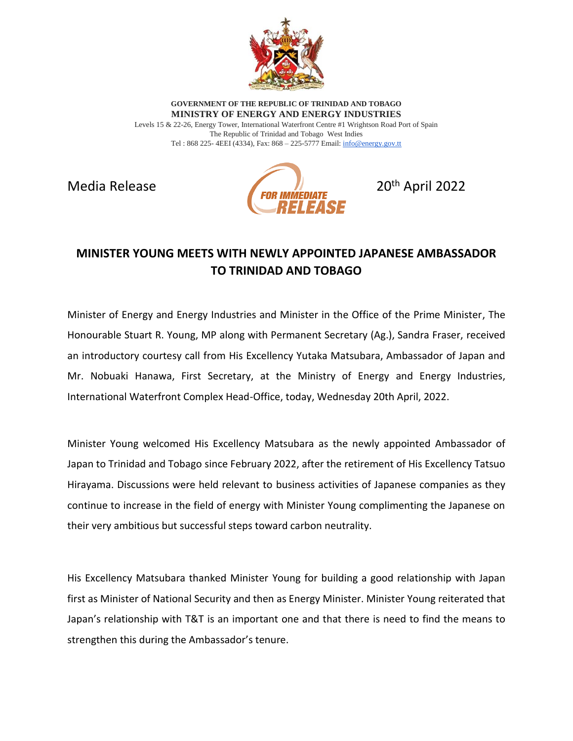

**GOVERNMENT OF THE REPUBLIC OF TRINIDAD AND TOBAGO MINISTRY OF ENERGY AND ENERGY INDUSTRIES**

Levels 15 & 22-26, Energy Tower, International Waterfront Centre #1 Wrightson Road Port of Spain The Republic of Trinidad and Tobago West Indies Tel : 868 225- 4EEI (4334), Fax: 868 – 225-5777 Email[: info@energy.gov.tt](mailto:info@energy.gov.tt)



## **MINISTER YOUNG MEETS WITH NEWLY APPOINTED JAPANESE AMBASSADOR TO TRINIDAD AND TOBAGO**

Minister of Energy and Energy Industries and Minister in the Office of the Prime Minister, The Honourable Stuart R. Young, MP along with Permanent Secretary (Ag.), Sandra Fraser, received an introductory courtesy call from His Excellency Yutaka Matsubara, Ambassador of Japan and Mr. Nobuaki Hanawa, First Secretary, at the Ministry of Energy and Energy Industries, International Waterfront Complex Head-Office, today, Wednesday 20th April, 2022.

Minister Young welcomed His Excellency Matsubara as the newly appointed Ambassador of Japan to Trinidad and Tobago since February 2022, after the retirement of His Excellency Tatsuo Hirayama. Discussions were held relevant to business activities of Japanese companies as they continue to increase in the field of energy with Minister Young complimenting the Japanese on their very ambitious but successful steps toward carbon neutrality.

His Excellency Matsubara thanked Minister Young for building a good relationship with Japan first as Minister of National Security and then as Energy Minister. Minister Young reiterated that Japan's relationship with T&T is an important one and that there is need to find the means to strengthen this during the Ambassador's tenure.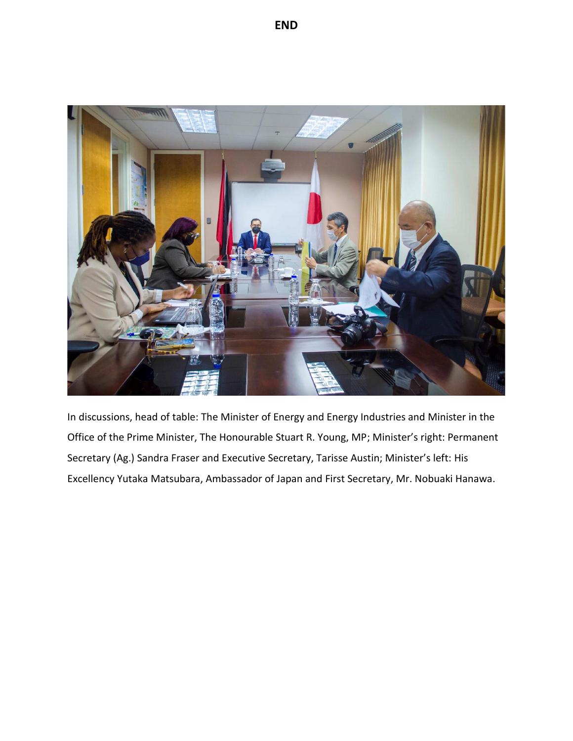

In discussions, head of table: The Minister of Energy and Energy Industries and Minister in the Office of the Prime Minister, The Honourable Stuart R. Young, MP; Minister's right: Permanent Secretary (Ag.) Sandra Fraser and Executive Secretary, Tarisse Austin; Minister's left: His Excellency Yutaka Matsubara, Ambassador of Japan and First Secretary, Mr. Nobuaki Hanawa.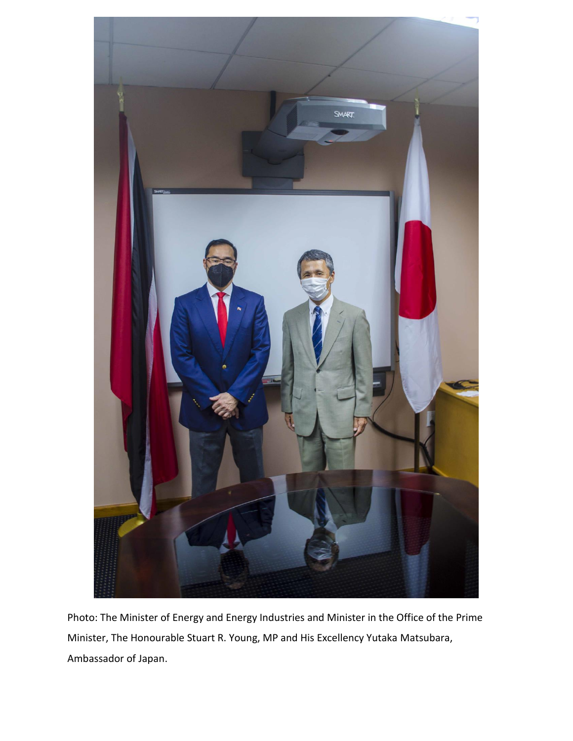

Photo: The Minister of Energy and Energy Industries and Minister in the Office of the Prime Minister, The Honourable Stuart R. Young, MP and His Excellency Yutaka Matsubara, Ambassador of Japan.